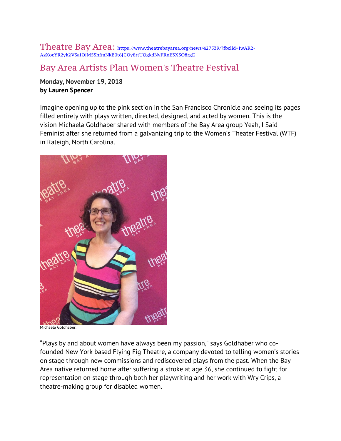Theatre Bay Area: https://www.theatrebayarea.org/news/427539/?fbclid=IwAR2- AzXocYR2yk2V3aIOjM55hfmNkB0t6JCOy8rtUQgkdNvFRnE3X3O8rgE

## Bay Area Artists Plan Women's Theatre Festival

## **Monday, November 19, 2018 by Lauren Spencer**

Imagine opening up to the pink section in the San Francisco Chronicle and seeing its pages filled entirely with plays written, directed, designed, and acted by women. This is the vision Michaela Goldhaber shared with members of the Bay Area group Yeah, I Said Feminist after she returned from a galvanizing trip to the Women's Theater Festival (WTF) in Raleigh, North Carolina.



Michaela Goldhaber.

"Plays by and about women have always been my passion," says Goldhaber who cofounded New York based Flying Fig Theatre, a company devoted to telling women's stories on stage through new commissions and rediscovered plays from the past. When the Bay Area native returned home after suffering a stroke at age 36, she continued to fight for representation on stage through both her playwriting and her work with Wry Crips, a theatre-making group for disabled women.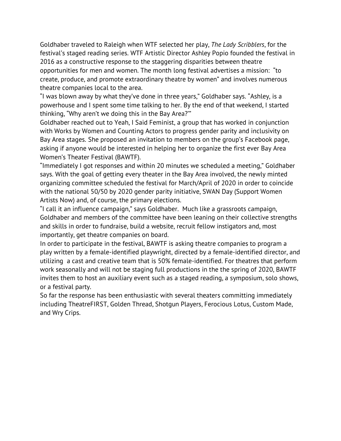Goldhaber traveled to Raleigh when WTF selected her play, *The Lady Scribblers*, for the festival's staged reading series. WTF Artistic Director Ashley Popio founded the festival in 2016 as a constructive response to the staggering disparities between theatre opportunities for men and women. The month long festival advertises a mission: "to create, produce, and promote extraordinary theatre by women" and involves numerous theatre companies local to the area.

"I was blown away by what they've done in three years," Goldhaber says. "Ashley, is a powerhouse and I spent some time talking to her. By the end of that weekend, I started thinking, "Why aren't we doing this in the Bay Area?'"

Goldhaber reached out to Yeah, I Said Feminist, a group that has worked in conjunction with Works by Women and Counting Actors to progress gender parity and inclusivity on Bay Area stages. She proposed an invitation to members on the group's Facebook page, asking if anyone would be interested in helping her to organize the first ever Bay Area Women's Theater Festival (BAWTF).

"Immediately I got responses and within 20 minutes we scheduled a meeting," Goldhaber says. With the goal of getting every theater in the Bay Area involved, the newly minted organizing committee scheduled the festival for March/April of 2020 in order to coincide with the national 50/50 by 2020 gender parity initiative, SWAN Day (Support Women Artists Now) and, of course, the primary elections.

"I call it an influence campaign," says Goldhaber. Much like a grassroots campaign, Goldhaber and members of the committee have been leaning on their collective strengths and skills in order to fundraise, build a website, recruit fellow instigators and, most importantly, get theatre companies on board.

In order to participate in the festival, BAWTF is asking theatre companies to program a play written by a female-identified playwright, directed by a female-identified director, and utilizing a cast and creative team that is 50% female-identified. For theatres that perform work seasonally and will not be staging full productions in the the spring of 2020, BAWTF invites them to host an auxiliary event such as a staged reading, a symposium, solo shows, or a festival party.

So far the response has been enthusiastic with several theaters committing immediately including TheatreFIRST, Golden Thread, Shotgun Players, Ferocious Lotus, Custom Made, and Wry Crips.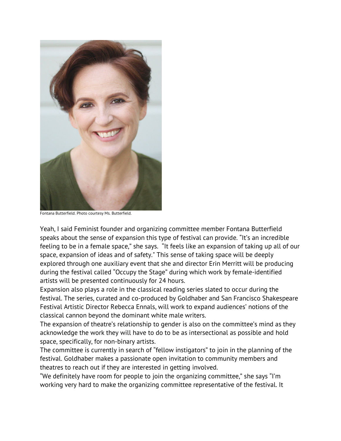

Fontana Butterfield. Photo courtesy Ms. Butterfield.

Yeah, I said Feminist founder and organizing committee member Fontana Butterfield speaks about the sense of expansion this type of festival can provide. "It's an incredible feeling to be in a female space," she says. "It feels like an expansion of taking up all of our space, expansion of ideas and of safety." This sense of taking space will be deeply explored through one auxiliary event that she and director Erin Merritt will be producing during the festival called "Occupy the Stage" during which work by female-identified artists will be presented continuously for 24 hours.

Expansion also plays a role in the classical reading series slated to occur during the festival. The series, curated and co-produced by Goldhaber and San Francisco Shakespeare Festival Artistic Director Rebecca Ennals, will work to expand audiences' notions of the classical cannon beyond the dominant white male writers.

The expansion of theatre's relationship to gender is also on the committee's mind as they acknowledge the work they will have to do to be as intersectional as possible and hold space, specifically, for non-binary artists.

The committee is currently in search of "fellow instigators" to join in the planning of the festival. Goldhaber makes a passionate open invitation to community members and theatres to reach out if they are interested in getting involved.

"We definitely have room for people to join the organizing committee," she says "I'm working very hard to make the organizing committee representative of the festival. It